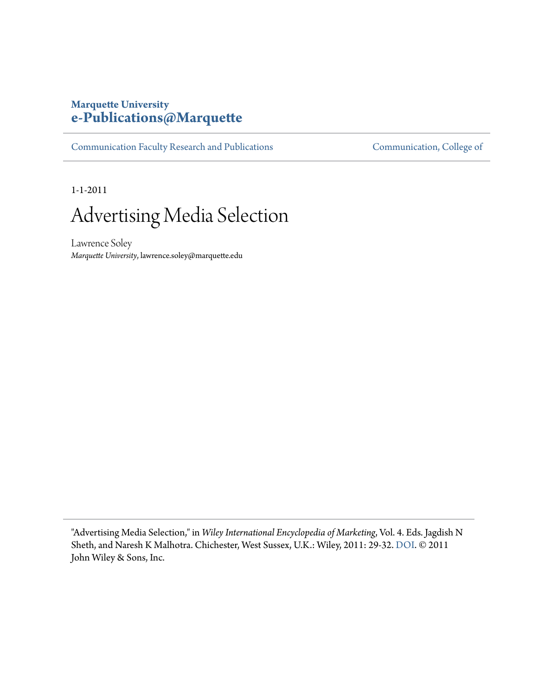### **Marquette University [e-Publications@Marquette](http://epublications.marquette.edu)**

[Communication Faculty Research and Publications](http://epublications.marquette.edu/comm_fac) [Communication, College of](http://epublications.marquette.edu/communication)

1-1-2011

## Advertising Media Selection

Lawrence Soley *Marquette University*, lawrence.soley@marquette.edu

"Advertising Media Selection," in *Wiley International Encyclopedia of Marketing*, Vol. 4. Eds. Jagdish N Sheth, and Naresh K Malhotra. Chichester, West Sussex, U.K.: Wiley, 2011: 29-32. [DOI.](http://dx.doi.org/10.1002/9781444316568.wiem04016) © 2011 John Wiley & Sons, Inc.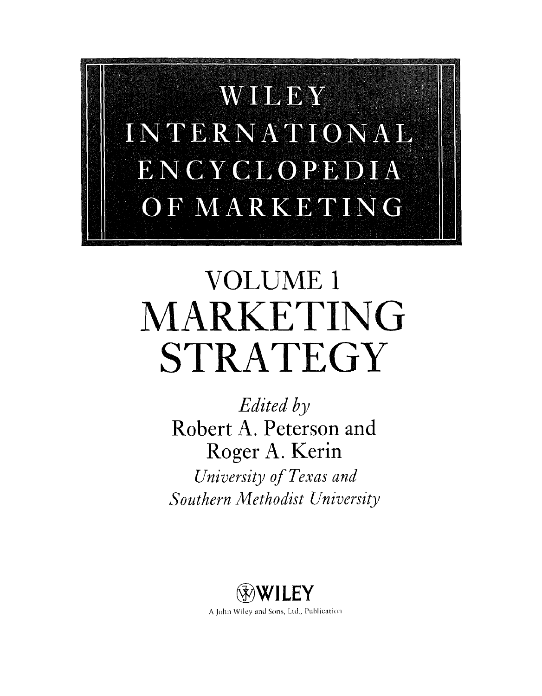

# **VOLUME 1 MARKETING STRATEGY**

*Edited by*  **Robert A. Peterson and Roger A. Kerin**  *University of Texas and* **Southern Methodist University** 

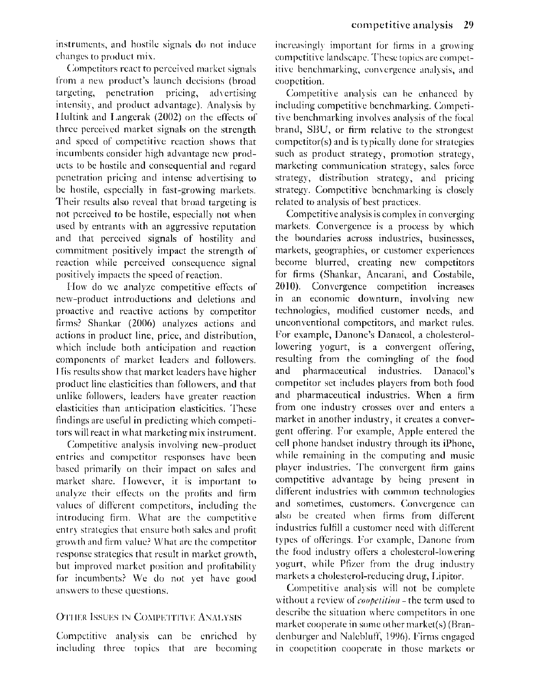instruments, and hostile signals do not induce changes to product mix.

Competitors react to perceived market signals from a new product's launch decisions (broad targeting, penetration pricing, advertising intensity, and product advantage). Analysis by Hultink and Langerak (2002) on the effects of three perceived market signals on the strength and speed of competitive reaction shows that incumbents consider high advantage new products to be hostile and consequential and regard penetration pricing and intense advertising to be hostile, especially in fast-growing markets. Their results also reveal that broad targeting is not perceived to be hostile, especially not when used by entrants with an aggressive rcputation and that perceived signals of hostility and commitment positively impact the strength of reaction while perceived consequence signal positively impacts the speed of reaction.

How do we analyze competitive effects of new-product introductions and deletions and proactive and reactive actions by compctitor firms? Shankar (2006) analyzcs actions and actions in product linc, price, and distribution, which include both anticipation and reaction components of market leaders and followers. 1 lis results show that market leaders have higher product line elasticities than followers, and that unlike followers, leaders have greater reaction elasticities than anticipation elasticities. These findings arc useful in predicting which competitors will react in what marketing mix instrument.

Competitive analysis involving new-product entries and competitor responses have been based primarily on their impact on sales and market share. However, it is important to analyze their effects on the profits and finn values of different competitors, including the introducing firm. What are the competitive entry strategies that ensure both sales and profit growth and firm value? What are the competitor response strategies that result in market growth, but improved market position and profitability for incumbents? We do not yet have good answers to these questions.

#### OTHER ISSUES IN COMPETITIVE ANALYSIS

Competitive analysis can be enriched hy including three topics that arc becoming increasingly important for firms in a growing competitive landscape. These topics arc competitive benchmarking, convergence analysis, and coopctition.

Competitive analysis can be enhanced by including competitive benchmarking. Competitive benchmarking involves analysis of the focal brand, SBU, or firm relative to the strongest competitor(s) and is typically done for strategies such as product strategy, promotion strategy, marketing communication strategy, sales force strategy, distribution strategy, and pricing; strategy. Competitive benchmarking is closely related to analysis of best practices.

Competitive analysis is complex in converging; markets. Convergence is a process by which the boundaries across industries, businesses, markets, geographies, or customer experiences become blurred, creating new competitors for firms (Shankar, Ancarani, and Costabile, 2010). Convergence competition increases in an economic downturn, involving new technologies, modified customer needs, and unconventional competitors, and market rules. For example, Danone's Danacol, a cholcsterollowering yogurt, is a convergent offering, resulting from the comingling of the food and pharmaceutical industries. Danacol's competitor set includes players from both food and pharmaceutical industries. When a firm from one industry crosses over and enters a market in another industry, it creates a convergent offering. For example, Apple entered the cell phone handset industry through its iPhone, while remaining in the computing and music player industries. The convergent firm gains compctitive advantage by being present in different industries with common technologies and sometimes, customers. Convergence can also be created when firms from different industries fulfill a customer nced with different types of offerings. For example, Danonc from the food industry offers a cholesterol-lowering yogurt, while Pfizer from the drug industry markets a cholesterol-reducing drug, Lipitor.

Competitive analysis will not be complete without a review of *coopetition* - the term used to describe the situation where competitors in one market cooperate in some other market(s) (Brandenburger and Nalebluff, 1996). Firms engaged in coopetition cooperate in those markets or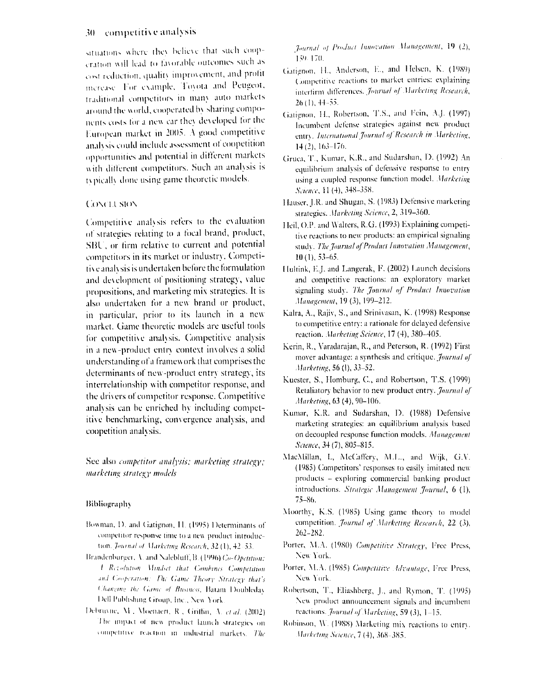#### 30 competitive analysis

situations where they believe that such cooperation will lead to favorable outcomes such as cost reduction, quality improvement, and profit merease. For example, Toyota and Peugeot, traditional competitors in many auto markets around the world, cooperated by sharing components costs for a new car they developed for the European market in 2005. A good competitive analysis could include assessment of coopetition opportunities and potential in different markets with different competitors. Such an analysis is typically done using game theoretic models.

#### **CONCLUSION**

Competitive analysis refers to the evaluation of strategies relating to a focal brand, product, SBU, or firm relative to current and potential competitors in its market or industry. Competitive analysis is undertaken before the formulation and development of positioning strategy, value propositions, and marketing mix strategies. It is also undertaken for a new brand or product, in particular, prior to its launch in a new market. Game theoretic models are useful tools for competitive analysis. Competitive analysis in a new-product entry context involves a solid understanding of a framework that comprises the determinants of new-product entry strategy, its interrelationship with competitor response, and the drivers of competitor response. Competitive analysis can be enriched by including competitive benchmarking, convergence analysis, and coopetition analysis.

See also *competitor analysis; marketing strategy*; marketing strategy models

#### Bibliography

- Bowman, D. and Gatignon, H. (1995) Determinants of competitor response time to a new product introduction. Journal of Marketing Research, 32 (1), 42-53.
- Brandenburger, A. and Nalebluff, B. (1996) Co-Opetition: 4 Revolution Mindset that Combines Competition and Cooperation: The Game Theory Strategy that's Changing the Game of Business, Batam Doubleday Dell Publishing Group, Inc., New York
- Debruyne, M., Moenaert, R., Griffin, A. et al. (2002) The impact of new product launch strategies on competitive reaction in industrial markets. The

Journal of Product Innovation Management, 19 (2), 159-170.

- Gatignon, H., Anderson, E., and Helsen, K. (1989) Competitive reactions to market entries: explaining interfirm differences. Journal of Marketing Research,  $26(1), 44-55.$
- Gatignon, H., Robertson, T.S., and Fein, A.J. (1997) Incumbent defense strategies against new product entry. International Journal of Research in Marketing,  $14(2), 163-176.$
- Gruca, T., Kumar, K.R., and Sudarshan, D. (1992) An equilibrium analysis of defensive response to entry using a coupled response function model. Marketing Science, 11 (4), 348-358.
- Hauser, J.R. and Shugan, S. (1983) Defensive marketing strategies. Marketing Science, 2, 319-360.
- Heil, O.P. and Walters, R.G. (1993) Explaining competitive reactions to new products: an empirical signaling study. The Journal of Product Innovation Management,  $10(1), 53-65.$
- Hultink, E.J. and Langerak, F. (2002) Launch decisions and competitive reactions: an exploratory market signaling study. The Journal of Product Innovation Management, 19 (3), 199-212.
- Kalra, A., Rajiv, S., and Srinivasan, K. (1998) Response to competitive entry: a rationale for delayed defensive reaction. Marketing Science, 17 (4), 380-405.
- Kerin, R., Varadarajan, R., and Peterson, R. (1992) First mover advantage: a synthesis and critique. Journal of Marketing, 56 (1), 33-52.
- Kuester, S., Homburg, C., and Robertson, T.S. (1999) Retaliatory behavior to new product entry. Journal of Marketing, 63 (4), 90-106.
- Kumar, K.R. and Sudarshan, D. (1988) Defensive marketing strategies: an equilibrium analysis based on decoupled response function models. Management Science, 34 (7), 805-815.
- MacMillan, I., McCaffery, M.L., and Wijk, G.V. (1985) Competitors' responses to easily imitated new products - exploring commercial banking product introductions. Strategic Management Journal, 6 (1),  $75 - 86.$
- Moorthy, K.S. (1985) Using game theory to model competition. Journal of Marketing Research, 22 (3),  $262 - 282$
- Porter, M.A. (1980) Competitive Strategy, Free Press, New York.
- Porter, M.A. (1985) Competitive Advantage, Free Press, New York
- Robertson, T., Eliashberg, J., and Rymon, T. (1995) New product announcement signals and incumbent reactions. Journal of Marketing, 59 (3), 1-15.
- Robinson, W. (1988) Marketing mix reactions to entry. Marketing Science, 7 (4), 368-385.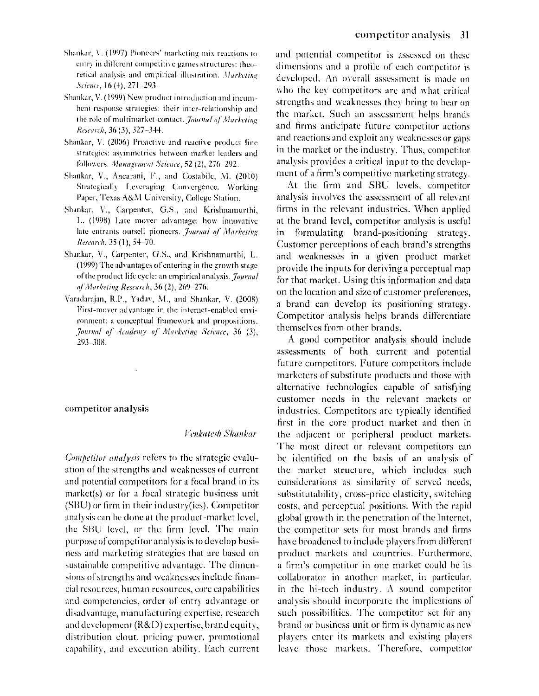- Shankar, V. (1997) Pioneers' marketing mix reactions to entry in different competitive games structures: theoretical analysis and empirical illustration. Marketing Science, 16 (4), 271-293.
- Shankar, V. (1999) New product introduction and incumbent response strategies: their inter-relationship and the role of multimarket contact. Journal of Marketing Research, 36 (3), 327-344.
- Shankar, V. (2006) Proactive and reactive product line strategies; asymmetries between market leaders and followers. Management Science, 52 (2), 276-292.
- Shankar, V., Ancarani, F., and Costabile, M. (2010) Strategically Leveraging Convergence. Working Paper, Texas A&M University, College Station.
- Shankar, V., Carpenter, G.S., and Krishnamurthi, L. (1998) Late mover advantage; how innovative late entrants outsell pioneers. Journal of Marketing Research, 35 (1), 54-70.
- Shankar, V., Carpenter, G.S., and Krishnamurthi, L. (1999) The advantages of entering in the growth stage of the product life cycle: an empirical analysis. Journal of Marketing Research, 36 (2), 269-276.
- Varadarajan, R.P., Yadav, M., and Shankar, V. (2008) First-mover advantage in the internet-enabled environment: a conceptual framework and propositions. Journal of Academy of Marketing Science, 36 (3),  $293 - 308$ .

#### competitor analysis

#### Venkatesh Shankar

*Competitor analysis* refers to the strategic evaluation of the strengths and weaknesses of current and potential competitors for a focal brand in its market(s) or for a focal strategic business unit (SBU) or firm in their industry(ies). Competitor analysis can be done at the product-market level, the SBU level, or the firm level. The main purpose of competitor analysis is to develop business and marketing strategies that are based on sustainable competitive advantage. The dimensions of strengths and weaknesses include financial resources, human resources, core capabilities and competencies, order of entry advantage or disadvantage, manufacturing expertise, research and development (R&D) expertise, brand equity, distribution clout, pricing power, promotional capability, and execution ability. Each current and potential competitor is assessed on these dimensions and a profile of each competitor is developed. An overall assessment is made on who the key competitors are and what critical strengths and weaknesses they bring to bear on the market. Such an assessment helps brands and firms anticipate future competitor actions and reactions and exploit any weaknesses or gaps in the market or the industry. Thus, competitor analysis provides a critical input to the development of a firm's competitive marketing strategy.

At the firm and SBU levels, competitor analysis involves the assessment of all relevant firms in the relevant industries. When applied at the brand level, competitor analysis is useful in formulating brand-positioning strategy. Customer perceptions of each brand's strengths and weaknesses in a given product market provide the inputs for deriving a perceptual map for that market. Using this information and data on the location and size of customer preferences, a brand can develop its positioning strategy. Competitor analysis helps brands differentiate themselves from other brands.

A good competitor analysis should include assessments of both current and potential future competitors. Future competitors include marketers of substitute products and those with alternative technologies capable of satisfying customer needs in the relevant markets or industries. Competitors are typically identified first in the core product market and then in the adjacent or peripheral product markets. The most direct or relevant competitors can be identified on the basis of an analysis of the market structure, which includes such considerations as similarity of served needs, substitutability, cross-price elasticity, switching costs, and perceptual positions. With the rapid global growth in the penetration of the Internet, the competitor sets for most brands and firms have broadened to include players from different product markets and countries. Furthermore, a firm's competitor in one market could be its collaborator in another market, in particular, in the hi-tech industry. A sound competitor analysis should incorporate the implications of such possibilities. The competitor set for any brand or business unit or firm is dynamic as new players enter its markets and existing players leave those markets. Therefore, competitor